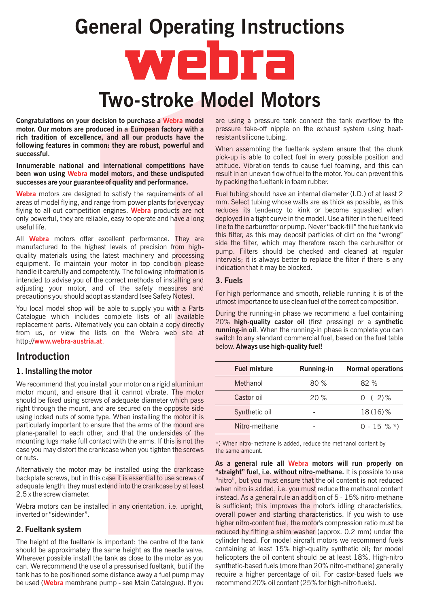# Two-stroke Model Motors General Operating Instructions

**Congratulations on your decision to purchase a Webra model** are using a pressure tank connect the tank overflow to the motor. Our motors are produced in a European factory with a pressure take-off nipple on the exhaust system using heatrich tradition of excellence, and all our products have the resistant silicone tubing. following features in common: they are robust, powerful and When assembling the fueltank system ensure that the clunk successful.<br>pick-up is able to collect fuel in every possible position and

been won using Webra model motors, and these undisputed result in an uneven flow of fuel to the motor. You can prevent this successes are your guarantee of quality and performance. by packing the fueltank in foam rubber.

areas of model flying, and range from power plants for everyday mm. Select tubing whose walls are as thick as possible, as this flying to all-out competition engines. Webra products are not reduces its tendency to kink or become squashed when only powerful, they are reliable, easy to operate and have a long deployed in a tight curve in the model. Use a filter in the fuel feed Webra motors are designed to satisfy the requirements of all

manufactured to the highest levels of precision from high-<br>manufactured to the highest levels of precision from high-<br>manufactured to the highest levels of precision from high-<br>manufactured and cleaned at regular quality materials using the latest machinery and processing<br>equipment. To maintain your motor in top condition please<br>handle it carefully and competently. The following information is<br>handle it carefully and competently. T intended to advise you of the correct methods of installing and  $3.$  Fuels adjusting your motor, and of the safety measures and For high performance and smooth, reliable running it is of the precautions you should adopt as standard (see Safety Notes). All **Webra** motors offer excellent performance. They are

You local model shop will be able to supply you with a Parts Catalogue which includes complete lists of all available<br>replacement parts. Alternatively you can obtain a copy directly<br>from us or view, the lists on the Webse web site at **running-in oil**. When the running-in phase is co from us, or view the lists on the Webra web site at http://www.webra-austria.at.

# Introduction

## 1. Installing the motor

We recommend that you install your motor on a rigid aluminium motor mount, and ensure that it cannot vibrate. The motor should be fixed using screws of adequate diameter which pass right through the mount, and are secured on the opposite side using locked nuts of some type. When installing the motor it is particularly important to ensure that the arms of the mount are plane-parallel to each other, and that the undersides of the mounting lugs make full contact with the arms. If this is not the case you may distort the crankcase when you tighten the screws or nuts.

Alternatively the motor may be installed using the crankcase backplate screws, but in this case it is essential to use screws of adequate length: they must extend into the crankcase by at least 2.5 x the screw diameter.

Webra motors can be installed in any orientation, *i.e.* upright, inverted or "sidewinder".

# 2. Fueltank system

The height of the fueltank is important: the centre of the tank should be approximately the same height as the needle valve. Wherever possible install the tank as close to the motor as you can. We recommend the use of a pressurised fueltank, but if the tank has to be positioned some distance away a fuel pump may be used (Webra membrane pump - see Main Catalogue). If you

Innumerable national and international competitions have attitude. Vibration tends to cause fuel foaming, and this can

Fuel tubing should have an internal diameter (I.D.) of at least 2 useful life.<br>
line to the carburettor or pump. Never "back-fill" the fueltank via<br>
this filter, as this may deposit particles of dirt on the "wrong"

utmost importance to use clean fuel of the correct composition.

switch to any standard commercial fuel, based on the fuel table below. Always use high-quality fuel!

| <b>Fuel mixture</b> | <b>Running-in</b> | <b>Normal operations</b> |
|---------------------|-------------------|--------------------------|
| Methanol            | 80%               | 82%                      |
| Castor oil          | 20%               | $0(2)\%$                 |
| Synthetic oil       |                   | 18(16)%                  |
| Nitro-methane       |                   | $0 - 15 \%$ *)           |

\*) When nitro-methane is added, reduce the methanol content by the same amount.

**Example 14 The Control of the Control of the Control of the Control of the Control of the Control of the Control of the Control of the Control of the Control of the Control of the Control of the Control of the Control of** As a general rule all Webra motors will run properly on "straight" fuel, i.e. without nitro-methane. It is possible to use "nitro", but you must ensure that the oil content is not reduced when nitro is added, i.e. you must reduce the methanol content instead. As a general rule an addition of 5 - 15% nitro-methane is sufficient; this improves the motor's idling characteristics, overall power and starting characteristics. If you wish to use higher nitro-content fuel, the motor's compression ratio must be reduced by fitting a shim washer (approx. 0.2 mm) under the cylinder head. For model aircraft motors we recommend fuels containing at least 15% high-quality synthetic oil; for model helicopters the oil content should be at least 18%. High-nitro synthetic-based fuels (more than 20% nitro-methane) generally require a higher percentage of oil. For castor-based fuels we recommend 20% oil content (25% for high-nitro fuels).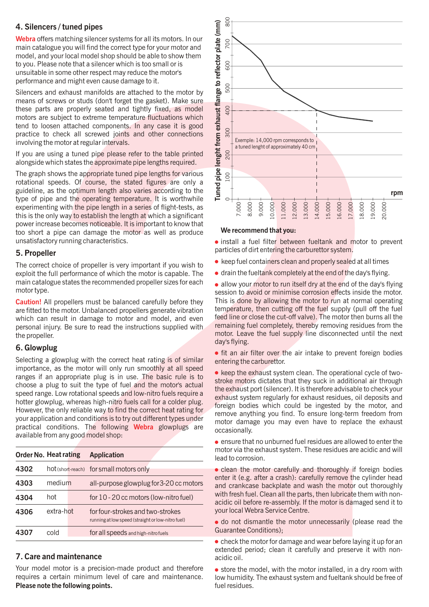# 4. Silencers / tuned pipes

Webra offers matching silencer systems for all its motors. In our main catalogue you will find the correct type for your motor and model, and your local model shop should be able to show them to you. Please note that a silencer which is too small or is unsuitable in some other respect may reduce the motor's performance and might even cause damage to it.

Silencers and exhaust manifolds are attached to the motor by means of screws or studs (don't forget the gasket). Make sure these parts are properly seated and tightly fixed, as model motors are subject to extreme temperature fluctuations which tend to loosen attached components. In any case it is good practice to check all screwed joints and other connections involving the motor at regular intervals.

If you are using a tuned pipe please refer to the table printed alongside which states the approximate pipe lengths required.

The graph shows the appropriate tuned pipe lengths for various rotational speeds. Of course, the stated figures are only a guideline, as the optimum length also varies according to the type of pipe and the operating temperature. It is worthwhile experimenting with the pipe length in a series of flight-tests, as this is the only way to establish the length at which a significant power increase becomes noticeable. It is important to know that too short a pipe can damage the motor as well as produce unsatisfactory running characteristics.

# 5. Propeller

The correct choice of propeller is very important if you wish to exploit the full performance of which the motor is capable. The main catalogue states the recommended propeller sizes for each motor type.

**Caution!** All propellers must be balanced carefully before they are fitted to the motor. Unbalanced propellers generate vibration which can result in damage to motor and model, and even personal injury. Be sure to read the instructions supplied with the propeller.

# 6. Glowplug

Selecting a glowplug with the correct heat rating is of similar importance, as the motor will only run smoothly at all speed ranges if an appropriate plug is in use. The basic rule is to choose a plug to suit the type of fuel and the motor's actual speed range. Low rotational speeds and low-nitro fuels require a hotter glowplug, whereas high-nitro fuels call for a colder plug. However, the only reliable way to find the correct heat rating for your application and conditions is to try out different types under practical conditions. The following Webra glowplugs are available from any good model shop:

| <b>Order No. Heat rating</b> |           | <b>Application</b>                                                                    |
|------------------------------|-----------|---------------------------------------------------------------------------------------|
| 4302                         |           | hot (short-reach) for small motors only                                               |
| 4303                         | medium    | all-purpose glowplug for 3-20 cc motors                                               |
| 4304                         | hot       | for 10 - 20 cc motors (low-nitro fuel)                                                |
| 4306                         | extra-hot | for four-strokes and two-strokes<br>running at low speed (straight or low-nitro fuel) |
| 4307                         | cold      | for all speeds and high-nitro fuels                                                   |

# 7. Care and maintenance

Your model motor is a precision-made product and therefore requires a certain minimum level of care and maintenance. Please note the following points.



### We recommend that you:

• install a fuel filter between fueltank and motor to prevent particles of dirt entering the carburettor system.

- keep fuel containers clean and properly sealed at all times
- drain the fueltank completely at the end of the day's flying.

• allow your motor to run itself dry at the end of the day's flying session to avoid or minimise corrosion effects inside the motor. This is done by allowing the motor to run at normal operating temperature, then cutting off the fuel supply (pull off the fuel feed line or close the cut-off valve). The motor then burns all the remaining fuel completely, thereby removing residues from the motor. Leave the fuel supply line disconnected until the next day's flying.

 $\bullet$  fit an air filter over the air intake to prevent foreign bodies entering the carburettor.

• keep the exhaust system clean. The operational cycle of twostroke motors dictates that they suck in additional air through the exhaust port (silencer). It is therefore advisable to check your exhaust system regularly for exhaust residues, oil deposits and foreign bodies which could be ingested by the motor, and remove anything you find. To ensure long-term freedom from motor damage you may even have to replace the exhaust occasionally.

ensure that no unburned fuel residues are allowed to enter the motor via the exhaust system. These residues are acidic and will lead to corrosion.

• clean the motor carefully and thoroughly if foreign bodies enter it (e.g. after a crash): carefully remove the cylinder head and crankcase backplate and wash the motor out thoroughly with fresh fuel. Clean all the parts, then lubricate them with nonacidic oil before re-assembly. If the motor is damaged send it to your local Webra Service Centre.

do not dismantle the motor unnecessarily (please read the Guarantee Conditions);

• check the motor for damage and wear before laying it up for an extended period; clean it carefully and preserve it with nonacidic oil.

• store the model, with the motor installed, in a dry room with low humidity. The exhaust system and fueltank should be free of fuel residues.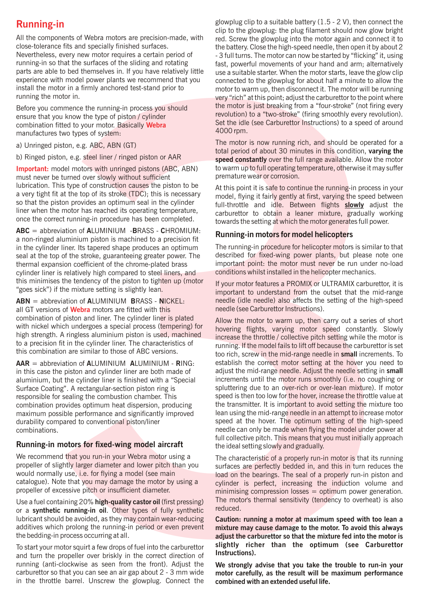# Running-in

combination fitted to your motor. Basically Webra manufactures two types of system:

Important: model motors with unringed pistons (ABC, ABN) must never be turned over slowly without sufficient lubrication. This type of construction causes the piston to be<br>a very tight fit at the top of its stroke (TDC): this is necessary<br>model thing it fairly gontly at first, varying the cood between

ABC = abbreviation of ALUMINIUM -BRASS - CHROMIUM:<br>a non-ringed aluminium piston is machined to a precision fit<br> seal at the top of the stroke, guaranteeing greater power. The cylinder liner is relatively high compared to steel liners, and this minimises the tendency of the piston to tighten up (motor If your motor features a PROMIX or ULTRAMIX carburettor, it is "goes sick") if the mixture setting is slightly lean.

all GT versions of Webra motors are fitted with this needle (see Carburettor Instructions). combination of piston and liner. The cylinder liner is plated<br>
With nickel which undergoes a special process (tempering) for<br>
hovering flights, varying motor speed, constantly, Slowly

# Running-in motors for fixed-wing model aircraft the ideal setting slowly and gradually.

We recommend that you run-in your Webra motor using a The characteristic of a properly run-in motor is that its running<br>propeller of slightly larger diameter and lower pitch than you

or a synthetic running-in oil. Other types of fully synthetic lubricant should be avoided, as they may contain wear-reducing Caution: running a motor at maximum speed with too lean a additives which prolong the running-in period or even prevent mixture may cause damage to the motor. To avoid this always the bedding-in process occurring at all. **adjust the carburettor so that the mixture fed into the motor is** 

and turn the propeller over briskly in the correct direction of running (anti-clockwise as seen from the front). Adjust the **We strongly advise that you take the trouble to run-in your**<br>carburettor so that you can see an air gap about 2 - 3 mm wide **motor carefully, as the result will** in the throttle barrel. Unscrew the glowplug. Connect the

glowplug clip to a suitable battery (1.5 - 2 V), then connect the clip to the glowplug: the plug filament should now glow bright All the components of Webra motors are precision-made, with red. Screw the glowplug into the motor again and connect it to close-tolerance fits and specially finished surfaces. close-tolerance fits and specially finished surfaces. the battery. Close the high-speed needle, then open it by about 2<br>Nevertheless, every new motor requires a certain period of  $\overline{a}$  a full turns. The motor can now be Nevertheless, every new motor requires a certain period of  $\qquad 3$  full turns. The motor can now be started by "flicking" it, using running-in so that the surfaces of the sliding and rotating  $\qquad$  fast. powerful movements fast, powerful movements of your hand and arm; alternatively parts are able to bed themselves in. If you have relatively little use a suitable starter. When the motor starts, leave the glow clip experience with model power plants we recommend that you connected to the glowplug for about half a minute to allow the install the motor in a firmly anchored test-stand prior to motor to warm up, then disconnect it. The motor will be running running the motor in. very "rich" at this point; adjust the carburettor to the point where Before you commence the running-in process you should the motor is just breaking from a "four-stroke" (not firing every revolution) to a "two-stroke" (firing smoothly every revolution). ensure that you know the type of piston / cylinder Set the idle (see Carburettor Instructions) to a speed of around 4000 rpm.

a) Unringed piston, e.g. ABC, ABN (GT) The motor is now running rich, and should be operated for a total period of about 30 minutes in this condition, varying the b) Ringed piston, e.g. steel liner / ringed piston or AAR speed constantly over the full range available. Allow the motor to warm up to full operating temperature, otherwise it may suffer<br>premature wear or corrosion.

a very tight fit at the top of its stroke (TDC); this is necessary model, flying it fairly gently at first, varying the speed between so that the piston provides an optimum seal in the cylinder full throttle and idle Betwe so that the piston provides an optimum seal in the cylinder full-throttle and idle. Between flights **slowly** adjust the liner when the motor has reached its operating temperature. liner when the motor has reached its operating temperature, carburettor to obtain a leaner mixture, gradually working once the correct running-in procedure has been completed. towards the setting at which the motor generates full power.

in the cylinder liner. Its tapered shape produces an optimum<br>seal at the top of the stroke, guaranteeing greater power. The described for fixed-wing power plants, but please note one thermal expansion coefficient of the chrome-plated brass important point: the motor must never be run under no-load cylinder liner is relatively high compared to steel liners, and conditions whilst installed in the helicop

important to understand from the outset that the mid-range  $ABN =$  abbreviation of ALUMINIUM BRASS - NICKEL: needle (idle needle) also affects the setting of the high-speed

is the both stression in Franchise The material and the stression in the stression in the stression in the stression in the stression in the stression in the stression in the stression in the stression in the stression in hovering flights, varying motor speed constantly. Slowly high strength. A ringless aluminium piston is used, machined<br>to a precision fit in the cylinder liner. The characteristics of<br>the model fails to lift off because the carburetter is set to a precision fit in the cylinder liner. The characteristics of running. If the model fails to lift off because the carburettor is set<br>this combination are similar to those of ABC versions. too rich, screw in the mid-range needle in **small** increments. To  $AAR =$  abbreviation of ALUMINIUM ALUMINIUM - RING: establish the correct motor setting at the hover you need to in this case the piston and cylinder liner are both made of adjust the mid-range needle. Adjust the needle setting in small aluminium, but the cylinder liner is finished with a "Special increments until the motor runs smoothly (i.e. no coughing or Surface Coating". A rectangular-section piston ring is spluttering due to an over-rich or over-lean mixture). If motor responsible for sealing the combustion chamber. This speed is then too low for the hover, increase the throttle value at combination provides optimum heat dispersion, producing the transmitter. It is important to avoid setting the mixture too maximum possible performance and significantly improved lean using the mid-range needle in an attempt to increase motor durability compared to conventional piston/liner speed at the hover. The optimum setting of the high-speed combinations. **needle can only be made when flying the model under power at** full collective pitch. This means that you must initially approach

propeller of slightly larger diameter and lower pitch than you surfaces are perfectly bedded in, and this in turn reduces the would normally use, i.e. for flying a model (see main load on the bearings. The seal of a properly run-in piston and catalogue). Note that you may damage the motor by using a cylinder is perfect, increasing the induction volume and<br>propeller of excessive pitch or insufficient diameter. minimising compression losses = optimum power generation. Use a fuel containing 20% high-quality castor oil (first pressing) The motor's thermal sensitivity (tendency to overheat) is also a fully containing and in the containing in all. Other types of fully cynthetic reduced.

To start your motor squirt a few drops of fuel into the carburettor slightly richer than the optimum (see Carburettor and turn the propellar over brightly in the carrent direction of Instructions).

motor carefully, as the result will be maximum performance<br>combined with an extended useful life.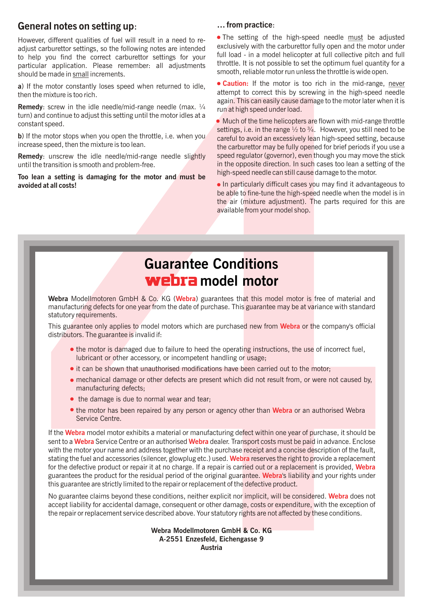# General notes on setting up: The matter was more than the control of the General notes on setting up:

adjust carburettor settings, so the following notes are intended exclusively with the carburettor fully open and the motor under adjust carburettor settings, so the following notes are intended exclusively with the carbure full load - in a model helicopter at full collective pitch and full<br>function and interest in the correct carburettor settings for your<br>throttle. It is not possible to set the optimum fuel quantity for a particular application. Please remember: all adjustments should be made in small increments.

a) If the motor constantly loses speed when returned to idle,

**Remedy:** screw in the idle needle/mid-range needle (max.  $\frac{1}{4}$  run at high speed under load. turn) and continue to adjust this setting until the motor idles at a

increase speed, then the mixture is too lean.

Too lean a setting is damaging for the motor and must be avoided at all costs!<br> **In particularly difficult cases you may find it advantageous to** 

However, different qualities of fuel will result in a need to re-<br>adjust carburator settings, so the following notes are intended exclusively with the carburettor fully open and the motor under smooth, reliable motor run unless the throttle is wide open.

attempt to correct this by screwing in the high-speed needle then the mixture is too rich. again. This can easily cause damage to the motor later when it is • Caution: If the motor is too rich in the mid-range, never

Much of the time helicopters are flown with mid-range throttle constant speed. settings, i.e. in the range  $\frac{1}{2}$  to  $\frac{3}{4}$ . However, you still need to be b) If the motor stops when you open the throttle, i.e. when you careful to avoid an excessively lean high-speed setting, because the carburettor may be fully opened for brief periods if you use a Remedy: unscrew the idle needle/mid-range needle slightly speed regulator (governor), even though you may move the stick until the transition is smooth and problem-free. in the opposite direction. In such cases too lean a setting of the high-speed needle can still cause damage to the motor.

> be able to fine-tune the high-speed needle when the model is in the air (mixture adjustment). The parts required for this are available from your model shop.

# Guarantee Conditions webra model motor

Webra Modellmotoren GmbH & Co. KG (Webra) guarantees that this model motor is free of material and manufacturing defects for one year from the date of purchase. This guarantee may be at variance with standard statutory requirements.

This guarantee only applies to model motors which are purchased new from Webra or the company's official distributors. The guarantee is invalid if:

- the motor is damaged due to failure to heed the operating instructions, the use of incorrect fuel, lubricant or other accessory, or incompetent handling or usage;
- it can be shown that unauthorised modifications have been carried out to the motor;
- mechanical damage or other defects are present which did not result from, or were not caused by, manufacturing defects;
- the damage is due to normal wear and tear;
- the motor has been repaired by any person or agency other than Webra or an authorised Webra Service Centre.

4Webra Montenando Real Proposition Control and Note that are the solution of the total modellmotion control and the solution of the solution of the solution of the solution of the solution of the solution of the solution If the Webra model motor exhibits a material or manufacturing defect within one year of purchase, it should be sent to a **Webra** Service Centre or an authorised **Webra** dealer. Transport costs must be paid in advance. Enclose with the motor your name and address together with the purchase receipt and a concise description of the fault, stating the fuel and accessories (silencer, glowplug etc.) used. **Webra r**eserves the right to provide a replacement for the defective product or repair it at no charge. If a repair is carried out or a replacement is provided, Webra guarantees the product for the residual period of the original guarantee. Webra's liability and your rights under this guarantee are strictly limited to the repair or replacement of the defective product.

No guarantee claims beyond these conditions, neither explicit nor implicit, will be considered. Webra does not accept liability for accidental damage, consequent or other damage, costs or expenditure, with the exception of the repair or replacement service described above. Your statutory rights are not affected by these conditions.

> A-2551 Enzesfeld, Eichengasse 9 Austria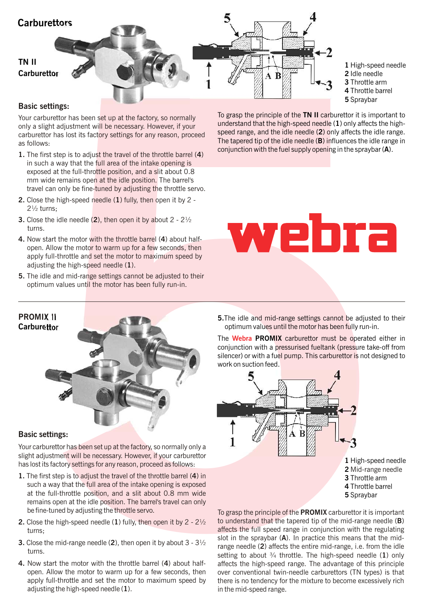

1 High-speed needle 2 Idle needle 3 Throttle arm 4 Throttle barrel 5 Spraybar

# Basic settings:

Your carburettor has been set up at the factory, so normally only a slight adjustment will be necessary. However, if your carburettor has lost its factory settings for any reason, proceed as follows:

- 1. The first step is to adjust the travel of the throttle barrel (4) in such a way that the full area of the intake opening is exposed at the full-throttle position, and a slit about 0.8 mm wide remains open at the idle position. The barrel's travel can only be fine-tuned by adjusting the throttle servo.
- 2. Close the high-speed needle (1) fully, then open it by 2 2½ turns;
- **3.** Close the idle needle  $(2)$ , then open it by about  $2 2\frac{1}{2}$ turns.
- 4. Now start the motor with the throttle barrel (4) about halfopen. Allow the motor to warm up for a few seconds, then apply full-throttle and set the motor to maximum speed by adjusting the high-speed needle  $(1)$ .
- 5. The idle and mid-range settings cannot be adjusted to their optimum values until the motor has been fully run-in.

To grasp the principle of the TN II carburettor it is important to understand that the high-speed needle (1) only affects the highspeed range, and the idle needle (2) only affects the idle range. The tapered tip of the idle needle (B) influences the idle range in conjunction with the fuel supply opening in the spraybar (A).





## Basic settings:

Your carburettor has been set up at the factory, so normally only a slight adjustment will be necessary. However, if your carburettor has lost its factory settings for any reason, proceed as follows:

- 1. The first step is to adjust the travel of the throttle barrel (4) in such a way that the full area of the intake opening is exposed at the full-throttle position, and a slit about 0.8 mm wide remains open at the idle position. The barrel's travel can only be fine-tuned by adjusting the throttle servo.
- **2.** Close the high-speed needle  $(1)$  fully, then open it by  $2 2\frac{1}{2}$ turns;
- **3.** Close the mid-range needle (2), then open it by about  $3 3\frac{1}{2}$ turns.
- 4. Now start the motor with the throttle barrel (4) about halfopen. Allow the motor to warm up for a few seconds, then apply full-throttle and set the motor to maximum speed by adjusting the high-speed needle  $(1)$ .

5.The idle and mid-range settings cannot be adjusted to their optimum values until the motor has been fully run-in.

The **Webra PROMIX** carburettor must be operated either in conjunction with a pressurised fueltank (pressure take-off from silencer) or with a fuel pump. This carburettor is not designed to work on suction feed.



To grasp the principle of the **PROMIX** carburettor it is important to understand that the tapered tip of the mid-range needle (B) affects the full speed range in conjunction with the regulating slot in the spraybar  $(A)$ . In practice this means that the midrange needle (2) affects the entire mid-range, i.e. from the idle setting to about  $\frac{3}{4}$  throttle. The high-speed needle (1) only affects the high-speed range. The advantage of this principle over conventional twin-needle carburettors (TN types) is that there is no tendency for the mixture to become excessively rich in the mid-speed range.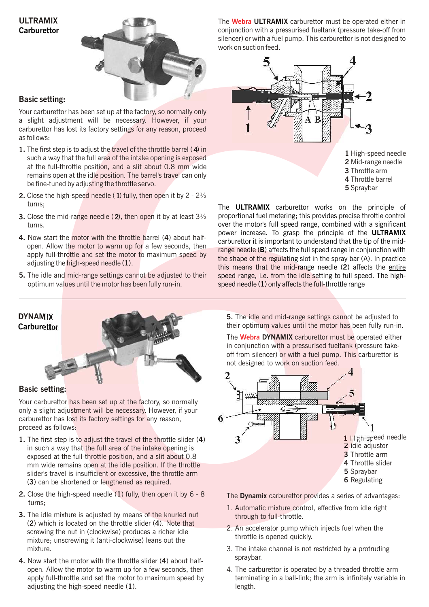# ULTRAMIX **Carburettor**



# Basic setting:

Your carburettor has been set up at the factory, so normally only a slight adjustment will be necessary. However, if your carburettor has lost its factory settings for any reason, proceed as follows:

- 1. The first step is to adjust the travel of the throttle barrel (4) in such a way that the full area of the intake opening is exposed at the full-throttle position, and a slit about 0.8 mm wide remains open at the idle position. The barrel's travel can only be fine-tuned by adjusting the throttle servo.
- **2.** Close the high-speed needle (1) fully, then open it by  $2 2\frac{1}{2}$ turns;
- **3.** Close the mid-range needle (2), then open it by at least  $3\frac{1}{2}$ turns.
- 4. Now start the motor with the throttle barrel (4) about halfopen. Allow the motor to warm up for a few seconds, then apply full-throttle and set the motor to maximum speed by adjusting the high-speed needle (1).
- 5. The idle and mid-range settings cannot be adjusted to their optimum values until the motor has been fully run-in.

The **Webra ULTRAMIX** carburettor must be operated either in conjunction with a pressurised fueltank (pressure take-off from silencer) or with a fuel pump. This carburettor is not designed to work on suction feed.



The **ULTRAMIX** carburettor works on the principle of proportional fuel metering; this provides precise throttle control over the motor's full speed range, combined with a significant power increase. To grasp the principle of the ULTRAMIX carburettor it is important to understand that the tip of the midrange needle (B) affects the full speed range in conjunction with the shape of the regulating slot in the spray bar (A). In practice this means that the mid-range needle (2) affects the entire speed range, i.e. from the idle setting to full speed. The highspeed needle (1) only affects the full-throttle range



## Basic setting:

Your carburettor has been set up at the factory, so normally only a slight adjustment will be necessary. However, if your carburettor has lost its factory settings for any reason, proceed as follows:

- 1. The first step is to adjust the travel of the throttle slider (4) in such a way that the full area of the intake opening is exposed at the full-throttle position, and a slit about 0.8 mm wide remains open at the idle position. If the throttle slider's travel is insufficient or excessive, the throttle arm (3) can be shortened or lengthened as required.
- **2.** Close the high-speed needle  $(1)$  fully, then open it by  $6 8$ turns;
- 3. The idle mixture is adjusted by means of the knurled nut (2) which is located on the throttle slider (4). Note that screwing the nut in (clockwise) produces a richer idle mixture; unscrewing it (anti-clockwise) leans out the mixture.
- 4. Now start the motor with the throttle slider (4) about halfopen. Allow the motor to warm up for a few seconds, then apply full-throttle and set the motor to maximum speed by adjusting the high-speed needle (1).

5. The idle and mid-range settings cannot be adjusted to their optimum values until the motor has been fully run-in.

The **Webra DYNAMIX** carburettor must be operated either in conjunction with a pressurised fueltank (pressure takeoff from silencer) or with a fuel pump. This carburettor is not designed to work on suction feed.



The Dynamix carburettor provides a series of advantages:

- 1. Automatic mixture control, effective from idle right through to full-throttle.
- 2. An accelerator pump which injects fuel when the throttle is opened quickly.
- 3. The intake channel is not restricted by a protruding spraybar.
- 4. The carburettor is operated by a threaded throttle arm terminating in a ball-link; the arm is infinitely variable in length.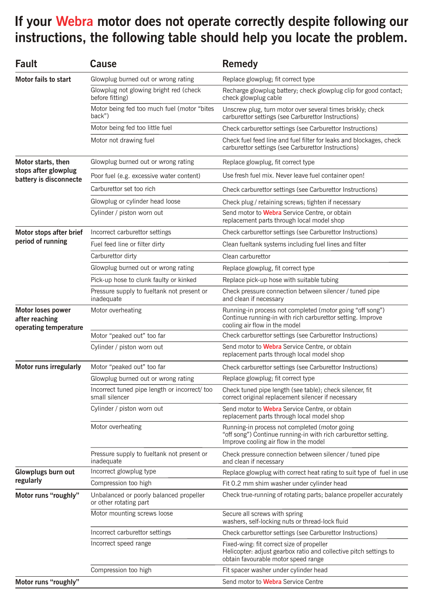# If your Webra motor does not operate correctly despite following our instructions, the following table should help you locate the problem.

| <b>Fault</b>                                                         | Cause                                                             | <b>Remedy</b>                                                                                                                                            |
|----------------------------------------------------------------------|-------------------------------------------------------------------|----------------------------------------------------------------------------------------------------------------------------------------------------------|
| Motor fails to start                                                 | Glowplug burned out or wrong rating                               | Replace glowplug; fit correct type                                                                                                                       |
|                                                                      | Glowplug not glowing bright red (check<br>before fitting)         | Recharge glowplug battery; check glowplug clip for good contact;<br>check glowplug cable                                                                 |
|                                                                      | Motor being fed too much fuel (motor "bites<br>back")             | Unscrew plug, turn motor over several times briskly; check<br>carburettor settings (see Carburettor Instructions)                                        |
|                                                                      | Motor being fed too little fuel                                   | Check carburettor settings (see Carburettor Instructions)                                                                                                |
|                                                                      | Motor not drawing fuel                                            | Check fuel feed line and fuel filter for leaks and blockages, check<br>carburettor settings (see Carburettor Instructions)                               |
| Motor starts, then<br>stops after glowplug<br>battery is disconnecte | Glowplug burned out or wrong rating                               | Replace glowplug, fit correct type                                                                                                                       |
|                                                                      | Poor fuel (e.g. excessive water content)                          | Use fresh fuel mix. Never leave fuel container open!                                                                                                     |
|                                                                      | Carburettor set too rich                                          | Check carburettor settings (see Carburettor Instructions)                                                                                                |
|                                                                      | Glowplug or cylinder head loose                                   | Check plug / retaining screws; tighten if necessary                                                                                                      |
|                                                                      | Cylinder / piston worn out                                        | Send motor to Webra Service Centre, or obtain<br>replacement parts through local model shop                                                              |
| Motor stops after brief<br>period of running                         | Incorrect carburettor settings                                    | Check carburettor settings (see Carburettor Instructions)                                                                                                |
|                                                                      | Fuel feed line or filter dirty                                    | Clean fueltank systems including fuel lines and filter                                                                                                   |
|                                                                      | Carburettor dirty                                                 | Clean carburettor                                                                                                                                        |
|                                                                      | Glowplug burned out or wrong rating                               | Replace glowplug, fit correct type                                                                                                                       |
|                                                                      | Pick-up hose to clunk faulty or kinked                            | Replace pick-up hose with suitable tubing                                                                                                                |
|                                                                      | Pressure supply to fueltank not present or<br>inadequate          | Check pressure connection between silencer / tuned pipe<br>and clean if necessary                                                                        |
| Motor loses power<br>after reaching<br>operating temperature         | Motor overheating                                                 | Running-in process not completed (motor going "off song")<br>Continue running-in with rich carburettor setting. Improve<br>cooling air flow in the model |
|                                                                      | Motor "peaked out" too far                                        | Check carburettor settings (see Carburettor Instructions)                                                                                                |
|                                                                      | Cylinder / piston worn out                                        | Send motor to Webra Service Centre, or obtain<br>replacement parts through local model shop                                                              |
| <b>Motor runs irregularly</b>                                        | Motor "peaked out" too far                                        | Check carburettor settings (see Carburettor Instructions)                                                                                                |
|                                                                      | Glowplug burned out or wrong rating                               | Replace glowplug; fit correct type                                                                                                                       |
|                                                                      | Incorrect tuned pipe length or incorrect/ too<br>small silencer   | Check tuned pipe length (see table); check silencer, fit<br>correct original replacement silencer if necessary                                           |
|                                                                      | Cylinder / piston worn out                                        | Send motor to Webra Service Centre, or obtain<br>replacement parts through local model shop                                                              |
|                                                                      | Motor overheating                                                 | Running-in process not completed (motor going<br>"off song") Continue running-in with rich carburettor setting.<br>Improve cooling air flow in the model |
|                                                                      | Pressure supply to fueltank not present or<br>inadequate          | Check pressure connection between silencer / tuned pipe<br>and clean if necessary                                                                        |
| Glowplugs burn out<br>regularly                                      | Incorrect glowplug type                                           | Replace glowplug with correct heat rating to suit type of fuel in use                                                                                    |
|                                                                      | Compression too high                                              | Fit 0.2 mm shim washer under cylinder head                                                                                                               |
| Motor runs "roughly"                                                 | Unbalanced or poorly balanced propeller<br>or other rotating part | Check true-running of rotating parts; balance propeller accurately                                                                                       |
|                                                                      | Motor mounting screws loose                                       | Secure all screws with spring<br>washers, self-locking nuts or thread-lock fluid                                                                         |
|                                                                      | Incorrect carburettor settings                                    | Check carburettor settings (see Carburettor Instructions)                                                                                                |
|                                                                      | Incorrect speed range                                             | Fixed-wing: fit correct size of propeller<br>Helicopter: adjust gearbox ratio and collective pitch settings to<br>obtain favourable motor speed range    |
|                                                                      | Compression too high                                              | Fit spacer washer under cylinder head                                                                                                                    |
| Motor runs "roughly"                                                 |                                                                   | Send motor to <b>Webra</b> Service Centre                                                                                                                |